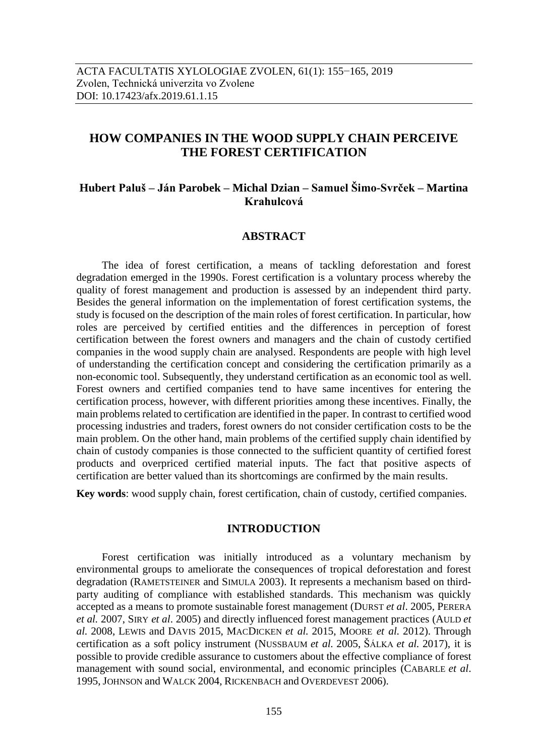# **HOW COMPANIES IN THE WOOD SUPPLY CHAIN PERCEIVE THE FOREST CERTIFICATION**

# **Hubert Paluš – Ján Parobek – Michal Dzian – Samuel Šimo-Svrček – Martina Krahulcová**

### **ABSTRACT**

The idea of forest certification, a means of tackling deforestation and forest degradation emerged in the 1990s. Forest certification is a voluntary process whereby the quality of forest management and production is assessed by an independent third party. Besides the general information on the implementation of forest certification systems, the study is focused on the description of the main roles of forest certification. In particular, how roles are perceived by certified entities and the differences in perception of forest certification between the forest owners and managers and the chain of custody certified companies in the wood supply chain are analysed. Respondents are people with high level of understanding the certification concept and considering the certification primarily as a non-economic tool. Subsequently, they understand certification as an economic tool as well. Forest owners and certified companies tend to have same incentives for entering the certification process, however, with different priorities among these incentives. Finally, the main problems related to certification are identified in the paper. In contrast to certified wood processing industries and traders, forest owners do not consider certification costs to be the main problem. On the other hand, main problems of the certified supply chain identified by chain of custody companies is those connected to the sufficient quantity of certified forest products and overpriced certified material inputs. The fact that positive aspects of certification are better valued than its shortcomings are confirmed by the main results.

**Key words**: wood supply chain, forest certification, chain of custody, certified companies.

## **INTRODUCTION**

Forest certification was initially introduced as a voluntary mechanism by environmental groups to ameliorate the consequences of tropical deforestation and forest degradation (RAMETSTEINER and SIMULA 2003). It represents a mechanism based on thirdparty auditing of compliance with established standards. This mechanism was quickly accepted as a means to promote sustainable forest management (DURST *et al*. 2005, PERERA *et al.* 2007, SIRY *et al*. 2005) and directly influenced forest management practices (AULD *et al.* 2008, LEWIS and DAVIS 2015, MACDICKEN *et al.* 2015, MOORE *et al.* 2012). Through certification as a soft policy instrument (NUSSBAUM *et al.* 2005, ŠÁLKA *et al.* 2017), it is possible to provide credible assurance to customers about the effective compliance of forest management with sound social, environmental, and economic principles (CABARLE *et al*. 1995, JOHNSON and WALCK 2004, RICKENBACH and OVERDEVEST 2006).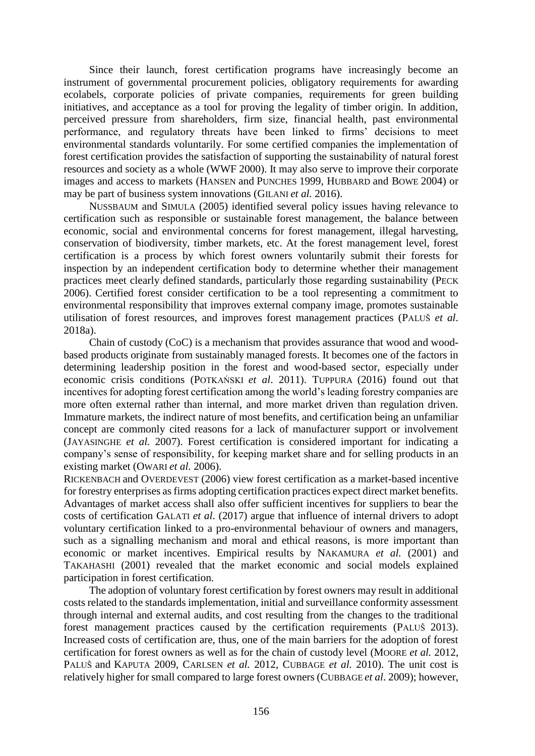Since their launch, forest certification programs have increasingly become an instrument of governmental procurement policies, obligatory requirements for awarding ecolabels, corporate policies of private companies, requirements for green building initiatives, and acceptance as a tool for proving the legality of timber origin. In addition, perceived pressure from shareholders, firm size, financial health, past environmental performance, and regulatory threats have been linked to firms' decisions to meet environmental standards voluntarily. For some certified companies the implementation of forest certification provides the satisfaction of supporting the sustainability of natural forest resources and society as a whole (WWF 2000). It may also serve to improve their corporate images and access to markets (HANSEN and PUNCHES 1999, HUBBARD and BOWE 2004) or may be part of business system innovations (GILANI *et al.* 2016).

NUSSBAUM and SIMULA (2005) identified several policy issues having relevance to certification such as responsible or sustainable forest management, the balance between economic, social and environmental concerns for forest management, illegal harvesting, conservation of biodiversity, timber markets, etc. At the forest management level, forest certification is a process by which forest owners voluntarily submit their forests for inspection by an independent certification body to determine whether their management practices meet clearly defined standards, particularly those regarding sustainability (PECK 2006). Certified forest consider certification to be a tool representing a commitment to environmental responsibility that improves external company image, promotes sustainable utilisation of forest resources, and improves forest management practices (PALUŠ *et al*. 2018a).

Chain of custody (CoC) is a mechanism that provides assurance that wood and woodbased products originate from sustainably managed forests. It becomes one of the factors in determining leadership position in the forest and wood-based sector, especially under economic crisis conditions (POTKAŃSKI *et al*. 2011). TUPPURA (2016) found out that incentives for adopting forest certification among the world's leading forestry companies are more often external rather than internal, and more market driven than regulation driven. Immature markets, the indirect nature of most benefits, and certification being an unfamiliar concept are commonly cited reasons for a lack of manufacturer support or involvement (JAYASINGHE *et al.* 2007). Forest certification is considered important for indicating a company's sense of responsibility, for keeping market share and for selling products in an existing market (OWARI *et al.* 2006).

RICKENBACH and OVERDEVEST (2006) view forest certification as a market-based incentive for forestry enterprises as firms adopting certification practices expect direct market benefits. Advantages of market access shall also offer sufficient incentives for suppliers to bear the costs of certification GALATI *et al*. (2017) argue that influence of internal drivers to adopt voluntary certification linked to a pro-environmental behaviour of owners and managers, such as a signalling mechanism and moral and ethical reasons, is more important than economic or market incentives. Empirical results by NAKAMURA *et al.* (2001) and TAKAHASHI (2001) revealed that the market economic and social models explained participation in forest certification.

The adoption of voluntary forest certification by forest owners may result in additional costs related to the standards implementation, initial and surveillance conformity assessment through internal and external audits, and cost resulting from the changes to the traditional forest management practices caused by the certification requirements (PALUŠ 2013). Increased costs of certification are, thus, one of the main barriers for the adoption of forest certification for forest owners as well as for the chain of custody level (MOORE *et al.* 2012, PALUŠ and KAPUTA 2009, CARLSEN *et al.* 2012, CUBBAGE *et al.* 2010). The unit cost is relatively higher for small compared to large forest owners (CUBBAGE *et al*. 2009); however,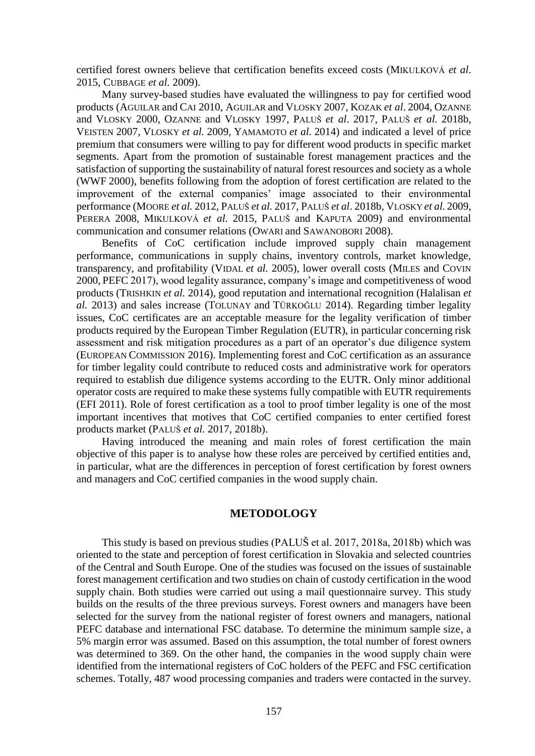certified forest owners believe that certification benefits exceed costs (MIKULKOVÁ *et al*. 2015, CUBBAGE *et al.* 2009).

Many survey-based studies have evaluated the willingness to pay for certified wood products (AGUILAR and CAI 2010, AGUILAR and VLOSKY 2007, KOZAK *et al*. 2004, OZANNE and VLOSKY 2000, OZANNE and VLOSKY 1997, PALUŠ *et al*. 2017, PALUŠ *et al.* 2018b, VEISTEN 2007, VLOSKY *et al.* 2009, YAMAMOTO *et al.* 2014) and indicated a level of price premium that consumers were willing to pay for different wood products in specific market segments. Apart from the promotion of sustainable forest management practices and the satisfaction of supporting the sustainability of natural forest resources and society as a whole (WWF 2000), benefits following from the adoption of forest certification are related to the improvement of the external companies' image associated to their environmental performance (MOORE *et al.* 2012, PALUŠ *et al.* 2017, PALUŠ *et al*. 2018b, VLOSKY *et al.* 2009, PERERA 2008, MIKULKOVÁ *et al.* 2015, PALUŠ and KAPUTA 2009) and environmental communication and consumer relations (OWARI and SAWANOBORI 2008).

Benefits of CoC certification include improved supply chain management performance, communications in supply chains, inventory controls, market knowledge, transparency, and profitability (VIDAL *et al.* 2005), lower overall costs (MILES and COVIN 2000, PEFC 2017), wood legality assurance, company's image and competitiveness of wood products (TRISHKIN *et al.* 2014), good reputation and international recognition (Halalisan *et al.* 2013) and sales increase (TOLUNAY and TÜRKOĞLU 2014). Regarding timber legality issues, CoC certificates are an acceptable measure for the legality verification of timber products required by the European Timber Regulation (EUTR), in particular concerning risk assessment and risk mitigation procedures as a part of an operator's due diligence system (EUROPEAN COMMISSION 2016). Implementing forest and CoC certification as an assurance for timber legality could contribute to reduced costs and administrative work for operators required to establish due diligence systems according to the EUTR. Only minor additional operator costs are required to make these systems fully compatible with EUTR requirements (EFI 2011). Role of forest certification as a tool to proof timber legality is one of the most important incentives that motives that CoC certified companies to enter certified forest products market (PALUŠ *et al.* 2017, 2018b).

Having introduced the meaning and main roles of forest certification the main objective of this paper is to analyse how these roles are perceived by certified entities and, in particular, what are the differences in perception of forest certification by forest owners and managers and CoC certified companies in the wood supply chain.

#### **METODOLOGY**

This study is based on previous studies (PALUŠ et al. 2017, 2018a, 2018b) which was oriented to the state and perception of forest certification in Slovakia and selected countries of the Central and South Europe. One of the studies was focused on the issues of sustainable forest management certification and two studies on chain of custody certification in the wood supply chain. Both studies were carried out using a mail questionnaire survey. This study builds on the results of the three previous surveys. Forest owners and managers have been selected for the survey from the national register of forest owners and managers, national PEFC database and international FSC database. To determine the minimum sample size, a 5% margin error was assumed. Based on this assumption, the total number of forest owners was determined to 369. On the other hand, the companies in the wood supply chain were identified from the international registers of CoC holders of the PEFC and FSC certification schemes. Totally, 487 wood processing companies and traders were contacted in the survey.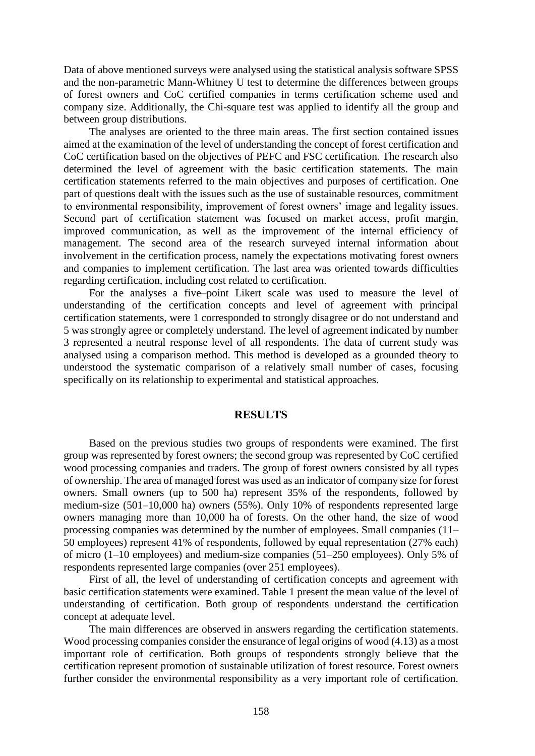Data of above mentioned surveys were analysed using the statistical analysis software SPSS and the non-parametric Mann-Whitney U test to determine the differences between groups of forest owners and CoC certified companies in terms certification scheme used and company size. Additionally, the Chi-square test was applied to identify all the group and between group distributions.

The analyses are oriented to the three main areas. The first section contained issues aimed at the examination of the level of understanding the concept of forest certification and CoC certification based on the objectives of PEFC and FSC certification. The research also determined the level of agreement with the basic certification statements. The main certification statements referred to the main objectives and purposes of certification. One part of questions dealt with the issues such as the use of sustainable resources, commitment to environmental responsibility, improvement of forest owners' image and legality issues. Second part of certification statement was focused on market access, profit margin, improved communication, as well as the improvement of the internal efficiency of management. The second area of the research surveyed internal information about involvement in the certification process, namely the expectations motivating forest owners and companies to implement certification. The last area was oriented towards difficulties regarding certification, including cost related to certification.

For the analyses a five–point Likert scale was used to measure the level of understanding of the certification concepts and level of agreement with principal certification statements, were 1 corresponded to strongly disagree or do not understand and 5 was strongly agree or completely understand. The level of agreement indicated by number 3 represented a neutral response level of all respondents. The data of current study was analysed using a comparison method. This method is developed as a grounded theory to understood the systematic comparison of a relatively small number of cases, focusing specifically on its relationship to experimental and statistical approaches.

## **RESULTS**

Based on the previous studies two groups of respondents were examined. The first group was represented by forest owners; the second group was represented by CoC certified wood processing companies and traders. The group of forest owners consisted by all types of ownership. The area of managed forest was used as an indicator of company size for forest owners. Small owners (up to 500 ha) represent 35% of the respondents, followed by medium-size (501–10,000 ha) owners (55%). Only 10% of respondents represented large owners managing more than 10,000 ha of forests. On the other hand, the size of wood processing companies was determined by the number of employees. Small companies (11– 50 employees) represent 41% of respondents, followed by equal representation (27% each) of micro (1–10 employees) and medium-size companies (51–250 employees). Only 5% of respondents represented large companies (over 251 employees).

First of all, the level of understanding of certification concepts and agreement with basic certification statements were examined. Table 1 present the mean value of the level of understanding of certification. Both group of respondents understand the certification concept at adequate level.

The main differences are observed in answers regarding the certification statements. Wood processing companies consider the ensurance of legal origins of wood (4.13) as a most important role of certification. Both groups of respondents strongly believe that the certification represent promotion of sustainable utilization of forest resource. Forest owners further consider the environmental responsibility as a very important role of certification.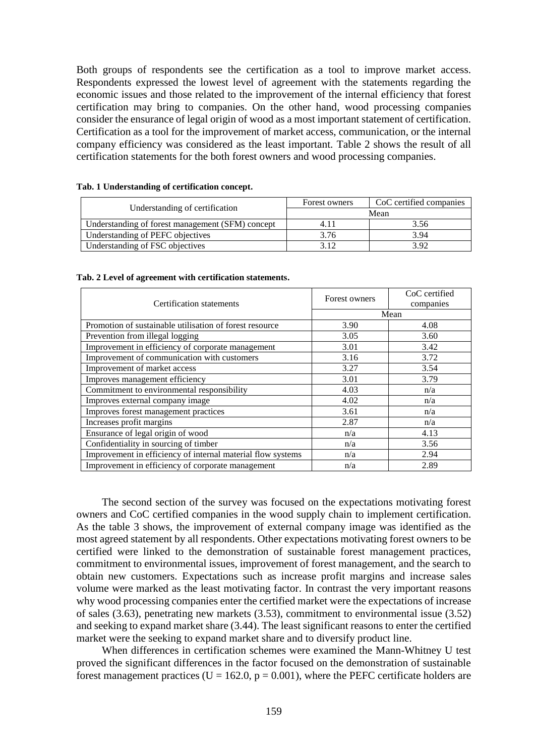Both groups of respondents see the certification as a tool to improve market access. Respondents expressed the lowest level of agreement with the statements regarding the economic issues and those related to the improvement of the internal efficiency that forest certification may bring to companies. On the other hand, wood processing companies consider the ensurance of legal origin of wood as a most important statement of certification. Certification as a tool for the improvement of market access, communication, or the internal company efficiency was considered as the least important. Table 2 shows the result of all certification statements for the both forest owners and wood processing companies.

|                                                  | Forest owners | CoC certified companies |  |
|--------------------------------------------------|---------------|-------------------------|--|
| Understanding of certification                   | Mean          |                         |  |
| Understanding of forest management (SFM) concept |               | 3.56                    |  |
| Understanding of PEFC objectives                 | 3.76          | 3.94                    |  |
| Understanding of FSC objectives                  | 312           | 3.92                    |  |

#### **Tab. 1 Understanding of certification concept.**

| Tab. 2 Level of agreement with certification statements. |  |  |  |  |  |  |  |  |
|----------------------------------------------------------|--|--|--|--|--|--|--|--|
|----------------------------------------------------------|--|--|--|--|--|--|--|--|

|                                                             | Forest owners | CoC certified |  |
|-------------------------------------------------------------|---------------|---------------|--|
| Certification statements                                    |               | companies     |  |
|                                                             | Mean          |               |  |
| Promotion of sustainable utilisation of forest resource     | 3.90          | 4.08          |  |
| Prevention from illegal logging                             | 3.05          | 3.60          |  |
| Improvement in efficiency of corporate management           | 3.01          | 3.42          |  |
| Improvement of communication with customers                 | 3.16          | 3.72          |  |
| Improvement of market access                                | 3.27          | 3.54          |  |
| Improves management efficiency                              | 3.01          | 3.79          |  |
| Commitment to environmental responsibility                  | 4.03          | n/a           |  |
| Improves external company image                             | 4.02          | n/a           |  |
| Improves forest management practices                        | 3.61          | n/a           |  |
| Increases profit margins                                    | 2.87          | n/a           |  |
| Ensurance of legal origin of wood                           | n/a           | 4.13          |  |
| Confidentiality in sourcing of timber                       | n/a           | 3.56          |  |
| Improvement in efficiency of internal material flow systems | n/a           | 2.94          |  |
| Improvement in efficiency of corporate management           | n/a           | 2.89          |  |

The second section of the survey was focused on the expectations motivating forest owners and CoC certified companies in the wood supply chain to implement certification. As the table 3 shows, the improvement of external company image was identified as the most agreed statement by all respondents. Other expectations motivating forest owners to be certified were linked to the demonstration of sustainable forest management practices, commitment to environmental issues, improvement of forest management, and the search to obtain new customers. Expectations such as increase profit margins and increase sales volume were marked as the least motivating factor. In contrast the very important reasons why wood processing companies enter the certified market were the expectations of increase of sales (3.63), penetrating new markets (3.53), commitment to environmental issue (3.52) and seeking to expand market share (3.44). The least significant reasons to enter the certified market were the seeking to expand market share and to diversify product line.

When differences in certification schemes were examined the Mann-Whitney U test proved the significant differences in the factor focused on the demonstration of sustainable forest management practices ( $U = 162.0$ ,  $p = 0.001$ ), where the PEFC certificate holders are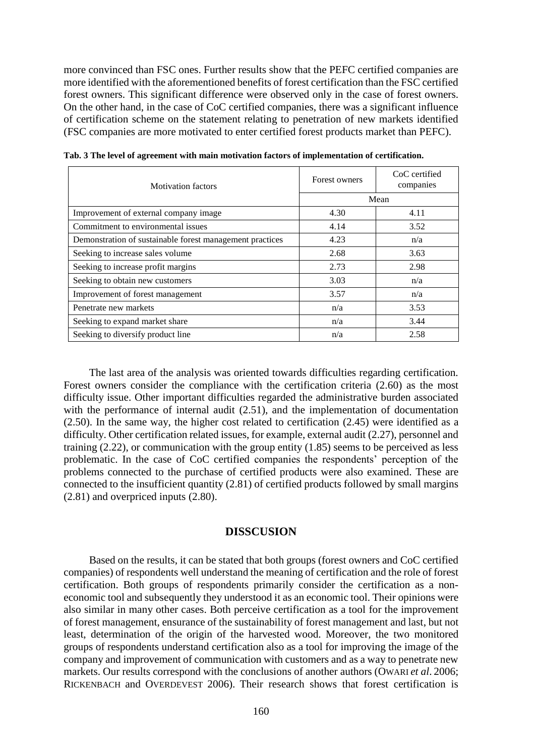more convinced than FSC ones. Further results show that the PEFC certified companies are more identified with the aforementioned benefits of forest certification than the FSC certified forest owners. This significant difference were observed only in the case of forest owners. On the other hand, in the case of CoC certified companies, there was a significant influence of certification scheme on the statement relating to penetration of new markets identified (FSC companies are more motivated to enter certified forest products market than PEFC).

| <b>Motivation factors</b>                                | Forest owners | CoC certified<br>companies |  |
|----------------------------------------------------------|---------------|----------------------------|--|
|                                                          | Mean          |                            |  |
| Improvement of external company image                    | 4.30          | 4.11                       |  |
| Commitment to environmental issues                       | 4.14          | 3.52                       |  |
| Demonstration of sustainable forest management practices | 4.23          | n/a                        |  |
| Seeking to increase sales volume                         | 2.68          | 3.63                       |  |
| Seeking to increase profit margins                       | 2.73          | 2.98                       |  |
| Seeking to obtain new customers                          | 3.03          | n/a                        |  |
| Improvement of forest management                         | 3.57          | n/a                        |  |
| Penetrate new markets                                    | n/a           | 3.53                       |  |
| Seeking to expand market share                           | n/a           | 3.44                       |  |
| Seeking to diversify product line                        | n/a           | 2.58                       |  |

**Tab. 3 The level of agreement with main motivation factors of implementation of certification.**

The last area of the analysis was oriented towards difficulties regarding certification. Forest owners consider the compliance with the certification criteria (2.60) as the most difficulty issue. Other important difficulties regarded the administrative burden associated with the performance of internal audit (2.51), and the implementation of documentation (2.50). In the same way, the higher cost related to certification (2.45) were identified as a difficulty. Other certification related issues, for example, external audit (2.27), personnel and training (2.22), or communication with the group entity (1.85) seems to be perceived as less problematic. In the case of CoC certified companies the respondents' perception of the problems connected to the purchase of certified products were also examined. These are connected to the insufficient quantity (2.81) of certified products followed by small margins (2.81) and overpriced inputs (2.80).

## **DISSCUSION**

Based on the results, it can be stated that both groups (forest owners and CoC certified companies) of respondents well understand the meaning of certification and the role of forest certification. Both groups of respondents primarily consider the certification as a noneconomic tool and subsequently they understood it as an economic tool. Their opinions were also similar in many other cases. Both perceive certification as a tool for the improvement of forest management, ensurance of the sustainability of forest management and last, but not least, determination of the origin of the harvested wood. Moreover, the two monitored groups of respondents understand certification also as a tool for improving the image of the company and improvement of communication with customers and as a way to penetrate new markets. Our results correspond with the conclusions of another authors (OWARI *et al*. 2006; RICKENBACH and OVERDEVEST 2006). Their research shows that forest certification is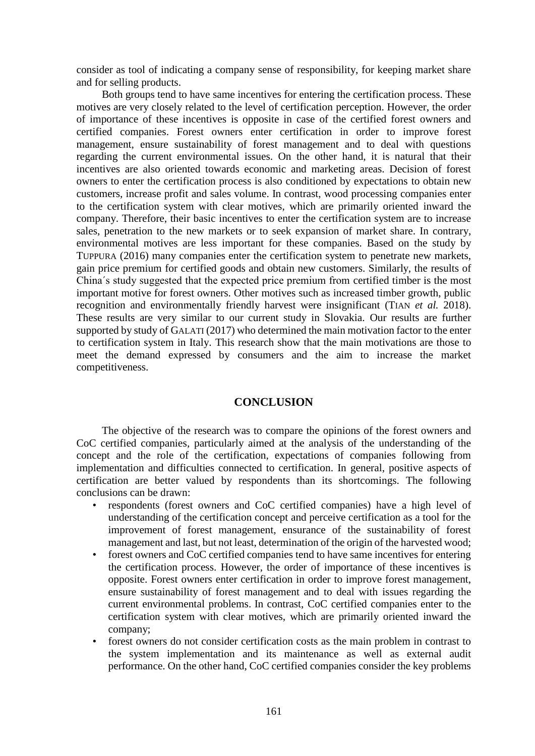consider as tool of indicating a company sense of responsibility, for keeping market share and for selling products.

Both groups tend to have same incentives for entering the certification process. These motives are very closely related to the level of certification perception. However, the order of importance of these incentives is opposite in case of the certified forest owners and certified companies. Forest owners enter certification in order to improve forest management, ensure sustainability of forest management and to deal with questions regarding the current environmental issues. On the other hand, it is natural that their incentives are also oriented towards economic and marketing areas. Decision of forest owners to enter the certification process is also conditioned by expectations to obtain new customers, increase profit and sales volume. In contrast, wood processing companies enter to the certification system with clear motives, which are primarily oriented inward the company. Therefore, their basic incentives to enter the certification system are to increase sales, penetration to the new markets or to seek expansion of market share. In contrary, environmental motives are less important for these companies. Based on the study by TUPPURA (2016) many companies enter the certification system to penetrate new markets, gain price premium for certified goods and obtain new customers. Similarly, the results of China´s study suggested that the expected price premium from certified timber is the most important motive for forest owners. Other motives such as increased timber growth, public recognition and environmentally friendly harvest were insignificant (TIAN *et al.* 2018). These results are very similar to our current study in Slovakia. Our results are further supported by study of GALATI (2017) who determined the main motivation factor to the enter to certification system in Italy. This research show that the main motivations are those to meet the demand expressed by consumers and the aim to increase the market competitiveness.

## **CONCLUSION**

The objective of the research was to compare the opinions of the forest owners and CoC certified companies, particularly aimed at the analysis of the understanding of the concept and the role of the certification, expectations of companies following from implementation and difficulties connected to certification. In general, positive aspects of certification are better valued by respondents than its shortcomings. The following conclusions can be drawn:

- respondents (forest owners and CoC certified companies) have a high level of understanding of the certification concept and perceive certification as a tool for the improvement of forest management, ensurance of the sustainability of forest management and last, but not least, determination of the origin of the harvested wood;
- forest owners and CoC certified companies tend to have same incentives for entering the certification process. However, the order of importance of these incentives is opposite. Forest owners enter certification in order to improve forest management, ensure sustainability of forest management and to deal with issues regarding the current environmental problems. In contrast, CoC certified companies enter to the certification system with clear motives, which are primarily oriented inward the company;
- forest owners do not consider certification costs as the main problem in contrast to the system implementation and its maintenance as well as external audit performance. On the other hand, CoC certified companies consider the key problems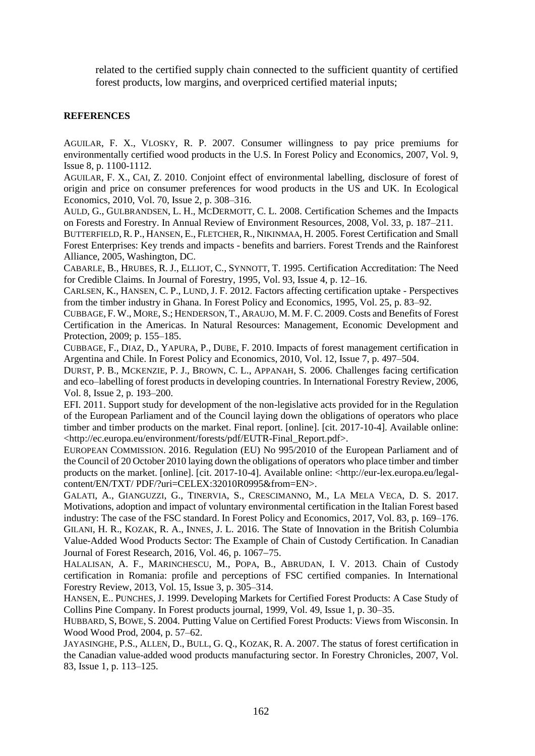related to the certified supply chain connected to the sufficient quantity of certified forest products, low margins, and overpriced certified material inputs;

### **REFERENCES**

AGUILAR, F. X., VLOSKY, R. P. 2007. Consumer willingness to pay price premiums for environmentally certified wood products in the U.S. In Forest Policy and Economics, 2007, Vol. 9, Issue 8, p. 1100-1112.

AGUILAR, F. X., CAI, Z. 2010. Conjoint effect of environmental labelling, disclosure of forest of origin and price on consumer preferences for wood products in the US and UK. In Ecological Economics, 2010, Vol. 70, Issue 2, p. 308–316.

AULD, G., GULBRANDSEN, L. H., MCDERMOTT, C. L. 2008. Certification Schemes and the Impacts on Forests and Forestry. In Annual Review of Environment Resources, 2008, Vol. 33, p. 187–211.

BUTTERFIELD, R. P., HANSEN, E., FLETCHER, R., NIKINMAA, H. 2005. Forest Certification and Small Forest Enterprises: Key trends and impacts - benefits and barriers. Forest Trends and the Rainforest Alliance, 2005, Washington, DC.

CABARLE, B., HRUBES, R. J., ELLIOT, C., SYNNOTT, T. 1995. Certification Accreditation: The Need for Credible Claims. In Journal of Forestry, 1995, Vol. 93, Issue 4, p. 12–16.

CARLSEN, K., HANSEN, C. P., LUND, J. F. 2012. Factors affecting certification uptake - Perspectives from the timber industry in Ghana. In Forest Policy and Economics, 1995, Vol. 25, p. 83–92.

CUBBAGE, F. W., MORE, S.; HENDERSON, T., ARAUJO, M. M. F.C. 2009.Costs and Benefits of Forest Certification in the Americas. In Natural Resources: Management, Economic Development and Protection, 2009; p. 155–185.

CUBBAGE, F., DIAZ, D., YAPURA, P., DUBE, F. 2010. Impacts of forest management certification in Argentina and Chile. In Forest Policy and Economics, 2010, Vol. 12, Issue 7, p. 497–504.

DURST, P. B., MCKENZIE, P. J., BROWN, C. L., APPANAH, S. 2006. Challenges facing certification and eco–labelling of forest products in developing countries. In International Forestry Review, 2006, Vol. 8, Issue 2, p. 193–200.

EFI. 2011. Support study for development of the non-legislative acts provided for in the Regulation of the European Parliament and of the Council laying down the obligations of operators who place timber and timber products on the market. Final report. [online]. [cit. 2017-10-4]. Available online: <http://ec.europa.eu/environment/forests/pdf/EUTR-Final\_Report.pdf>.

EUROPEAN COMMISSION. 2016. Regulation (EU) No 995/2010 of the European Parliament and of the Council of 20 October 2010 laying down the obligations of operators who place timber and timber products on the market. [online]. [cit. 2017-10-4]. Available online: <http://eur-lex.europa.eu/legalcontent/EN/TXT/ PDF/?uri=CELEX:32010R0995&from=EN>.

GALATI, A., GIANGUZZI, G., TINERVIA, S., CRESCIMANNO, M., LA MELA VECA, D. S. 2017. Motivations, adoption and impact of voluntary environmental certification in the Italian Forest based industry: The case of the FSC standard. In Forest Policy and Economics, 2017, Vol. 83, p. 169–176. GILANI, H. R., KOZAK, R. A., INNES, J. L. 2016. The State of Innovation in the British Columbia Value-Added Wood Products Sector: The Example of Chain of Custody Certification. In Canadian Journal of Forest Research, 2016, Vol. 46, p. 1067–75.

HALALISAN, A. F., MARINCHESCU, M., POPA, B., ABRUDAN, I. V. 2013. Chain of Custody certification in Romania: profile and perceptions of FSC certified companies. In International Forestry Review, 2013, Vol. 15, Issue 3, p. 305–314.

HANSEN, E.. PUNCHES, J. 1999. Developing Markets for Certified Forest Products: A Case Study of Collins Pine Company. In Forest products journal, 1999, Vol. 49, Issue 1, p. 30–35.

HUBBARD, S, BOWE, S. 2004. Putting Value on Certified Forest Products: Views from Wisconsin. In Wood Wood Prod, 2004, p. 57–62.

JAYASINGHE, P.S., ALLEN, D., BULL, G. Q., KOZAK, R. A. 2007. The status of forest certification in the Canadian value-added wood products manufacturing sector. In Forestry Chronicles, 2007, Vol. 83, Issue 1, p. 113–125.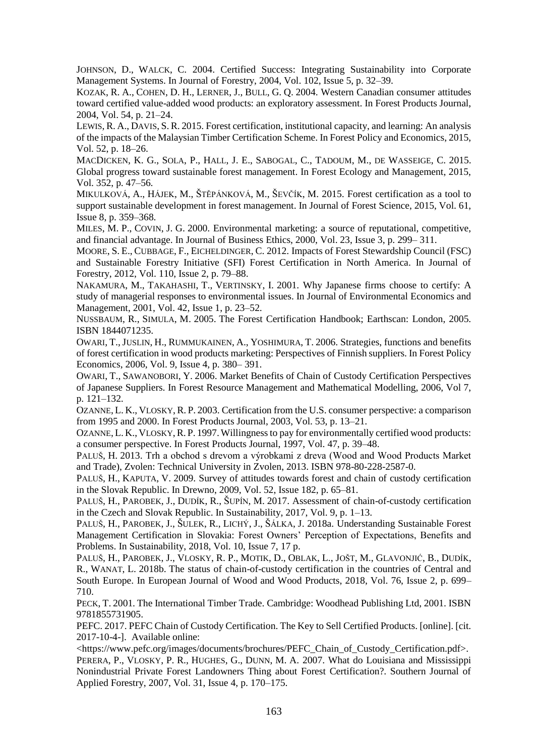JOHNSON, D., WALCK, C. 2004. Certified Success: Integrating Sustainability into Corporate Management Systems. In Journal of Forestry, 2004, Vol. 102, Issue 5, p. 32–39.

KOZAK, R. A., COHEN, D. H., LERNER, J., BULL, G. Q. 2004. Western Canadian consumer attitudes toward certified value-added wood products: an exploratory assessment. In Forest Products Journal, 2004, Vol. 54, p. 21–24.

LEWIS, R. A., DAVIS, S. R. 2015. Forest certification, institutional capacity, and learning: An analysis of the impacts of the Malaysian Timber Certification Scheme. In Forest Policy and Economics, 2015, Vol. 52, p. 18–26.

MACDICKEN, K. G., SOLA, P., HALL, J. E., SABOGAL, C., TADOUM, M., DE WASSEIGE, C. 2015. Global progress toward sustainable forest management. In Forest Ecology and Management, 2015, Vol. 352, p. 47–56.

MIKULKOVÁ, A., HÁJEK, M., ŠTĚPÁNKOVÁ, M., ŠEVČÍK, M. 2015. Forest certification as a tool to support sustainable development in forest management. In Journal of Forest Science, 2015, Vol. 61, Issue 8, p. 359–368.

MILES, M. P., COVIN, J. G. 2000. Environmental marketing: a source of reputational, competitive, and financial advantage. In Journal of Business Ethics, 2000, Vol. 23, Issue 3, p. 299– 311.

MOORE, S. E., CUBBAGE, F., EICHELDINGER, C. 2012. Impacts of Forest Stewardship Council (FSC) and Sustainable Forestry Initiative (SFI) Forest Certification in North America. In Journal of Forestry, 2012, Vol. 110, Issue 2, p. 79–88.

NAKAMURA, M., TAKAHASHI, T., VERTINSKY, I. 2001. Why Japanese firms choose to certify: A study of managerial responses to environmental issues. In Journal of Environmental Economics and Management, 2001, Vol. 42, Issue 1, p. 23–52.

NUSSBAUM, R., SIMULA, M. 2005. The Forest Certification Handbook; Earthscan: London, 2005. ISBN 1844071235.

OWARI, T.,JUSLIN, H., RUMMUKAINEN, A., YOSHIMURA, T. 2006. Strategies, functions and benefits of forest certification in wood products marketing: Perspectives of Finnish suppliers. In Forest Policy Economics, 2006, Vol. 9, Issue 4, p. 380– 391.

OWARI, T., SAWANOBORI, Y. 2006. Market Benefits of Chain of Custody Certification Perspectives of Japanese Suppliers. In Forest Resource Management and Mathematical Modelling, 2006, Vol 7, p. 121–132.

OZANNE, L. K., VLOSKY,R. P. 2003. Certification from the U.S. consumer perspective: a comparison from 1995 and 2000. In Forest Products Journal, 2003, Vol. 53, p. 13–21.

OZANNE, L. K., VLOSKY, R. P. 1997. Willingness to pay for environmentally certified wood products: a consumer perspective. In Forest Products Journal, 1997, Vol. 47, p. 39–48.

PALUŠ, H. 2013. Trh a obchod s drevom a výrobkami z dreva (Wood and Wood Products Market and Trade), Zvolen: Technical University in Zvolen, 2013. ISBN 978-80-228-2587-0.

PALUŠ, H., KAPUTA, V. 2009. Survey of attitudes towards forest and chain of custody certification in the Slovak Republic. In Drewno, 2009, Vol. 52, Issue 182, p. 65–81.

PALUŠ, H., PAROBEK, J., DUDÍK, R., ŠUPÍN, M. 2017. Assessment of chain-of-custody certification in the Czech and Slovak Republic. In Sustainability, 2017, Vol. 9, p. 1–13.

PALUŠ, H., PAROBEK, J., ŠULEK, R., LICHÝ, J., ŠÁLKA, J. 2018a. Understanding Sustainable Forest Management Certification in Slovakia: Forest Owners' Perception of Expectations, Benefits and Problems. In Sustainability, 2018, Vol. 10, Issue 7, 17 p.

PALUŠ, H., PAROBEK, J., VLOSKY, R. P., MOTIK, D., OBLAK, L., JOŠT, M., GLAVONJIĆ, B., DUDÍK, R., WANAT, L. 2018b. The status of chain-of-custody certification in the countries of Central and South Europe. In European Journal of Wood and Wood Products, 2018, Vol. 76, Issue 2, p. 699– 710.

PECK, T. 2001. The International Timber Trade. Cambridge: Woodhead Publishing Ltd, 2001. ISBN 9781855731905.

PEFC. 2017. PEFC Chain of Custody Certification. The Key to Sell Certified Products. [online]. [cit. 2017-10-4-]. Available online:

<https://www.pefc.org/images/documents/brochures/PEFC\_Chain\_of\_Custody\_Certification.pdf>.

PERERA, P., VLOSKY, P. R., HUGHES, G., DUNN, M. A. 2007. What do Louisiana and Mississippi Nonindustrial Private Forest Landowners Thing about Forest Certification?. Southern Journal of Applied Forestry, 2007, Vol. 31, Issue 4, p. 170–175.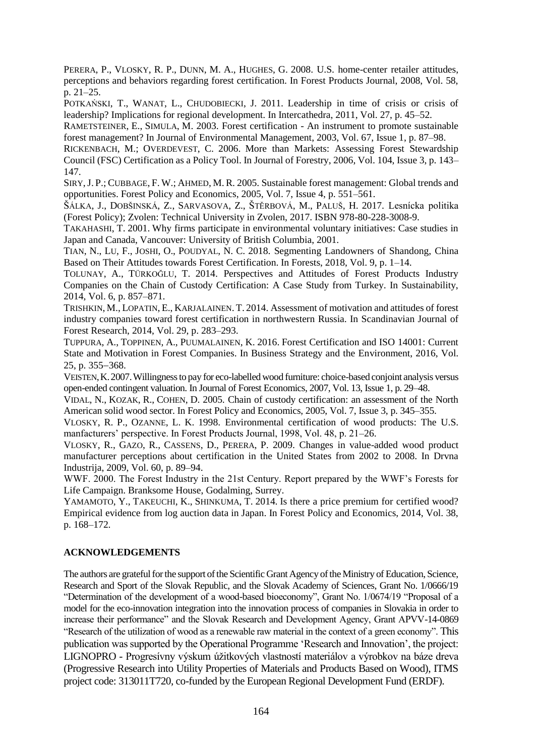PERERA, P., VLOSKY, R. P., DUNN, M. A., HUGHES, G. 2008. U.S. home-center retailer attitudes, perceptions and behaviors regarding forest certification. In Forest Products Journal, 2008, Vol. 58, p. 21–25.

POTKAŃSKI, T., WANAT, L., CHUDOBIECKI, J. 2011. Leadership in time of crisis or crisis of leadership? Implications for regional development. In Intercathedra, 2011, Vol. 27, p. 45–52.

RAMETSTEINER, E., SIMULA, M. 2003. Forest certification - An instrument to promote sustainable forest management? In Journal of Environmental Management, 2003, Vol. 67, Issue 1, p. 87–98.

RICKENBACH, M.; OVERDEVEST, C. 2006. More than Markets: Assessing Forest Stewardship Council (FSC) Certification as a Policy Tool. In Journal of Forestry, 2006, Vol. 104, Issue 3, p. 143– 147.

SIRY,J. P.; CUBBAGE, F. W.; AHMED, M. R. 2005. Sustainable forest management: Global trends and opportunities. Forest Policy and Economics, 2005, Vol. 7, Issue 4, p. 551–561.

ŠÁLKA, J., DOBŠINSKÁ, Z., SARVASOVA, Z., ŠTĚRBOVÁ, M., PALUŠ, H. 2017. Lesnícka politika (Forest Policy); Zvolen: Technical University in Zvolen, 2017. ISBN 978-80-228-3008-9.

TAKAHASHI, T. 2001. Why firms participate in environmental voluntary initiatives: Case studies in Japan and Canada, Vancouver: University of British Columbia, 2001.

TIAN, N., LU, F., JOSHI, O., POUDYAL, N. C. 2018. Segmenting Landowners of Shandong, China Based on Their Attitudes towards Forest Certification. In Forests, 2018, Vol. 9, p. 1–14.

TOLUNAY, A., TÜRKOĞLU, T. 2014. Perspectives and Attitudes of Forest Products Industry Companies on the Chain of Custody Certification: A Case Study from Turkey. In Sustainability, 2014, Vol. 6, p. 857–871.

TRISHKIN, M., LOPATIN, E., KARJALAINEN. T. 2014. Assessment of motivation and attitudes of forest industry companies toward forest certification in northwestern Russia. In Scandinavian Journal of Forest Research, 2014, Vol. 29, p. 283–293.

TUPPURA, A., TOPPINEN, A., PUUMALAINEN, K. 2016. Forest Certification and ISO 14001: Current State and Motivation in Forest Companies. In Business Strategy and the Environment, 2016, Vol. 25, p. 355-368.

VEISTEN,K.2007.Willingness to pay for eco-labelled wood furniture: choice-based conjoint analysis versus open-ended contingent valuation. In Journal of Forest Economics, 2007, Vol. 13, Issue 1, p. 29–48.

VIDAL, N., KOZAK, R., COHEN, D. 2005. Chain of custody certification: an assessment of the North American solid wood sector. In Forest Policy and Economics, 2005, Vol. 7, Issue 3, p. 345–355.

VLOSKY, R. P., OZANNE, L. K. 1998. Environmental certification of wood products: The U.S. manfacturers' perspective. In Forest Products Journal, 1998, Vol. 48, p. 21–26.

VLOSKY, R., GAZO, R., CASSENS, D., PERERA, P. 2009. Changes in value-added wood product manufacturer perceptions about certification in the United States from 2002 to 2008. In Drvna Industrija, 2009, Vol. 60, p. 89–94.

WWF. 2000. The Forest Industry in the 21st Century. Report prepared by the WWF's Forests for Life Campaign. Branksome House, Godalming, Surrey.

YAMAMOTO, Y., TAKEUCHI, K., SHINKUMA, T. 2014. Is there a price premium for certified wood? Empirical evidence from log auction data in Japan. In Forest Policy and Economics, 2014, Vol. 38, p. 168–172.

#### **ACKNOWLEDGEMENTS**

The authors are grateful for the support of the Scientific Grant Agency of the Ministry of Education, Science, Research and Sport of the Slovak Republic, and the Slovak Academy of Sciences, Grant No. 1/0666/19 "Determination of the development of a wood-based bioeconomy", Grant No. 1/0674/19 "Proposal of a model for the eco-innovation integration into the innovation process of companies in Slovakia in order to increase their performance" and the Slovak Research and Development Agency, Grant APVV-14-0869 "Research of the utilization of wood as a renewable raw material in the context of a green economy". This publication was supported by the Operational Programme 'Research and Innovation', the project: LIGNOPRO - Progresívny výskum úžitkových vlastností materiálov a výrobkov na báze dreva (Progressive Research into Utility Properties of Materials and Products Based on Wood), ITMS project code: 313011T720, co-funded by the European Regional Development Fund (ERDF).